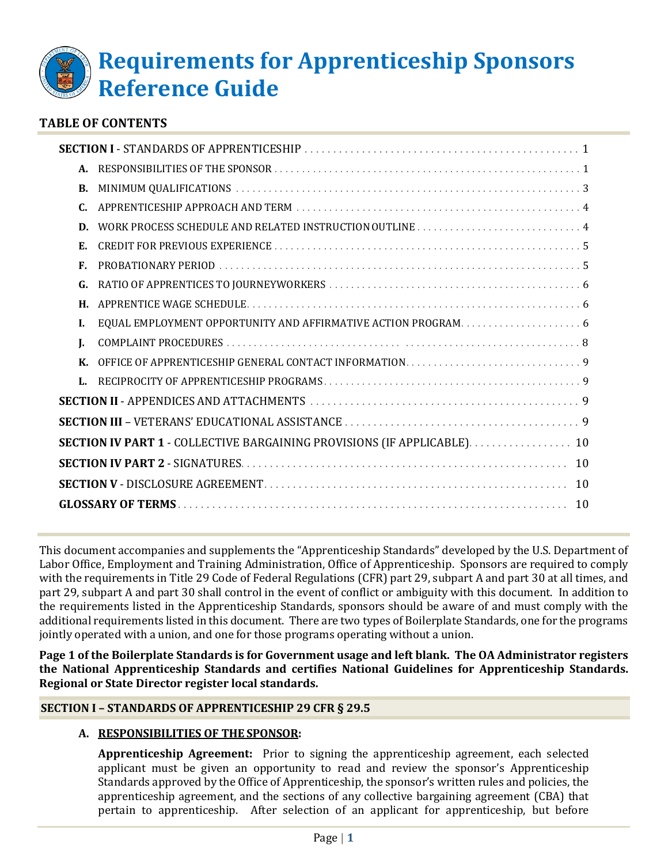

## **TABLE OF CONTENTS**

| A.                                                                       |  |  |
|--------------------------------------------------------------------------|--|--|
| B.                                                                       |  |  |
|                                                                          |  |  |
| D.                                                                       |  |  |
| Е.                                                                       |  |  |
| F.                                                                       |  |  |
| G.                                                                       |  |  |
| Н.                                                                       |  |  |
| L.                                                                       |  |  |
| L                                                                        |  |  |
| $\mathbf{K}$                                                             |  |  |
| L.                                                                       |  |  |
|                                                                          |  |  |
|                                                                          |  |  |
| SECTION IV PART 1 - COLLECTIVE BARGAINING PROVISIONS (IF APPLICABLE). 10 |  |  |
|                                                                          |  |  |
|                                                                          |  |  |
|                                                                          |  |  |
|                                                                          |  |  |

This document accompanies and supplements the "Apprenticeship Standards" developed by the U.S. Department of Labor Office, Employment and Training Administration, Office of Apprenticeship. Sponsors are required to comply with the requirements in Title 29 Code of Federal Regulations (CFR) part 29, subpart A and part 30 at all times, and part 29, subpart A and part 30 shall control in the event of conflict or ambiguity with this document. In addition to the requirements listed in the Apprenticeship Standards, sponsors should be aware of and must comply with the additional requirements listed in this document. There are two types of Boilerplate Standards, one for the programs jointly operated with a union, and one for those programs operating without a union.

**Page 1 of the Boilerplate Standards is for Government usage and left blank. The OA Administrator registers the National Apprenticeship Standards and certifies National Guidelines for Apprenticeship Standards. Regional or State Director register local standards.**

#### <span id="page-0-0"></span>**SECTION I – STANDARDS OF APPRENTICESHIP 29 CFR § 29.5**

#### **A. RESPONSIBILITIES OF THE SPONSOR:**

**Apprenticeship Agreement:** Prior to signing the apprenticeship agreement, each selected applicant must be given an opportunity to read and review the sponsor's Apprenticeship Standards approved by the Office of Apprenticeship, the sponsor's written rules and policies, the apprenticeship agreement, and the sections of any collective bargaining agreement (CBA) that pertain to apprenticeship. After selection of an applicant for apprenticeship, but before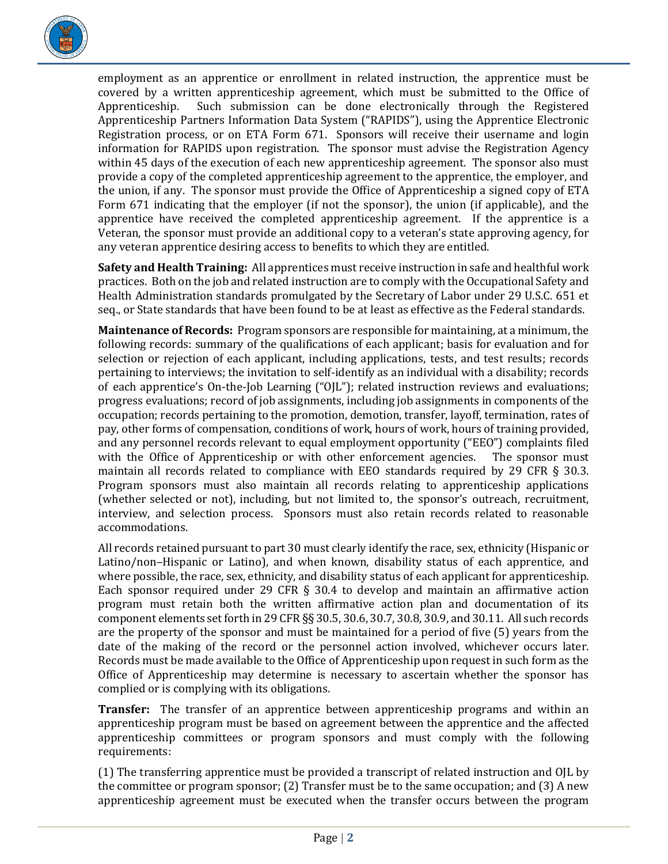

employment as an apprentice or enrollment in related instruction, the apprentice must be covered by a written apprenticeship agreement, which must be submitted to the Office of Apprenticeship. Such submission can be done electronically through the Registered Such submission can be done electronically through the Registered Apprenticeship Partners Information Data System ("RAPIDS"), using the Apprentice Electronic Registration process, or on ETA Form 671. Sponsors will receive their username and login information for RAPIDS upon registration. The sponsor must advise the Registration Agency within 45 days of the execution of each new apprenticeship agreement. The sponsor also must provide a copy of the completed apprenticeship agreement to the apprentice, the employer, and the union, if any. The sponsor must provide the Office of Apprenticeship a signed copy of ETA Form 671 indicating that the employer (if not the sponsor), the union (if applicable), and the apprentice have received the completed apprenticeship agreement. If the apprentice is a Veteran, the sponsor must provide an additional copy to a veteran's state approving agency, for any veteran apprentice desiring access to benefits to which they are entitled.

**Safety and Health Training:** All apprentices must receive instruction in safe and healthful work practices. Both on the job and related instruction are to comply with the Occupational Safety and Health Administration standards promulgated by the Secretary of Labor under 29 U.S.C. 651 et seq., or State standards that have been found to be at least as effective as the Federal standards.

**Maintenance of Records:** Program sponsors are responsible for maintaining, at a minimum, the following records: summary of the qualifications of each applicant; basis for evaluation and for selection or rejection of each applicant, including applications, tests, and test results; records pertaining to interviews; the invitation to self-identify as an individual with a disability; records of each apprentice's On-the-Job Learning ("OJL"); related instruction reviews and evaluations; progress evaluations; record of job assignments, including job assignments in components of the occupation; records pertaining to the promotion, demotion, transfer, layoff, termination, rates of pay, other forms of compensation, conditions of work, hours of work, hours of training provided, and any personnel records relevant to equal employment opportunity ("EEO") complaints filed with the Office of Apprenticeship or with other enforcement agencies. maintain all records related to compliance with EEO standards required by 29 CFR § 30.3. Program sponsors must also maintain all records relating to apprenticeship applications (whether selected or not), including, but not limited to, the sponsor's outreach, recruitment, interview, and selection process. Sponsors must also retain records related to reasonable accommodations.

All records retained pursuant to part 30 must clearly identify the race, sex, ethnicity (Hispanic or Latino/non–Hispanic or Latino), and when known, disability status of each apprentice, and where possible, the race, sex, ethnicity, and disability status of each applicant for apprenticeship. Each sponsor required under 29 CFR  $\S$  30.4 to develop and maintain an affirmative action program must retain both the written affirmative action plan and documentation of its component elements set forth in 29 CFR §§ 30.5, 30.6, 30.7, 30.8, 30.9, and 30.11. All such records are the property of the sponsor and must be maintained for a period of five (5) years from the date of the making of the record or the personnel action involved, whichever occurs later. Records must be made available to the Office of Apprenticeship upon request in such form as the Office of Apprenticeship may determine is necessary to ascertain whether the sponsor has complied or is complying with its obligations.

**Transfer:** The transfer of an apprentice between apprenticeship programs and within an apprenticeship program must be based on agreement between the apprentice and the affected apprenticeship committees or program sponsors and must comply with the following requirements:

(1) The transferring apprentice must be provided a transcript of related instruction and OJL by the committee or program sponsor; (2) Transfer must be to the same occupation; and (3) A new apprenticeship agreement must be executed when the transfer occurs between the program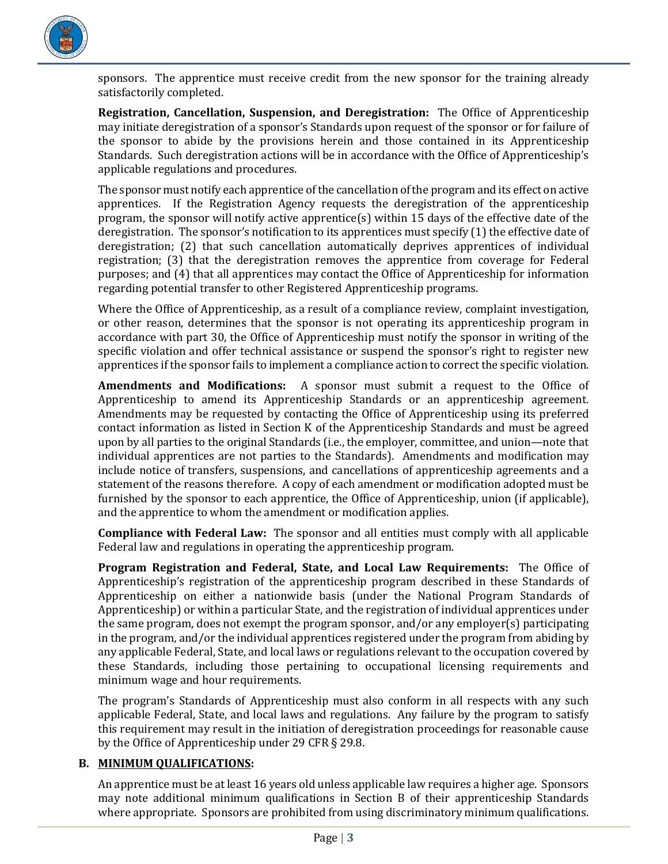

sponsors. The apprentice must receive credit from the new sponsor for the training already satisfactorily completed.

**Registration, Cancellation, Suspension, and Deregistration:** The Office of Apprenticeship may initiate deregistration of a sponsor's Standards upon request of the sponsor or for failure of the sponsor to abide by the provisions herein and those contained in its Apprenticeship Standards. Such deregistration actions will be in accordance with the Office of Apprenticeship's applicable regulations and procedures.

The sponsor must notify each apprentice of the cancellation of the program and its effect on active apprentices. If the Registration Agency requests the deregistration of the apprenticeship program, the sponsor will notify active apprentice(s) within 15 days of the effective date of the deregistration. The sponsor's notification to its apprentices must specify (1) the effective date of deregistration; (2) that such cancellation automatically deprives apprentices of individual registration; (3) that the deregistration removes the apprentice from coverage for Federal purposes; and (4) that all apprentices may contact the Office of Apprenticeship for information regarding potential transfer to other Registered Apprenticeship programs.

Where the Office of Apprenticeship, as a result of a compliance review, complaint investigation, or other reason, determines that the sponsor is not operating its apprenticeship program in accordance with part 30, the Office of Apprenticeship must notify the sponsor in writing of the specific violation and offer technical assistance or suspend the sponsor's right to register new apprentices if the sponsor fails to implement a compliance action to correct the specific violation.

**Amendments and Modifications:** A sponsor must submit a request to the Office of Apprenticeship to amend its Apprenticeship Standards or an apprenticeship agreement. Amendments may be requested by contacting the Office of Apprenticeship using its preferred contact information as listed in Section K of the Apprenticeship Standards and must be agreed upon by all parties to the original Standards (i.e., the employer, committee, and union—note that individual apprentices are not parties to the Standards). Amendments and modification may include notice of transfers, suspensions, and cancellations of apprenticeship agreements and a statement of the reasons therefore. A copy of each amendment or modification adopted must be furnished by the sponsor to each apprentice, the Office of Apprenticeship, union (if applicable), and the apprentice to whom the amendment or modification applies.

**Compliance with Federal Law:** The sponsor and all entities must comply with all applicable Federal law and regulations in operating the apprenticeship program.

**Program Registration and Federal, State, and Local Law Requirements:** The Office of Apprenticeship's registration of the apprenticeship program described in these Standards of Apprenticeship on either a nationwide basis (under the National Program Standards of Apprenticeship) or within a particular State, and the registration of individual apprentices under the same program, does not exempt the program sponsor, and/or any employer(s) participating in the program, and/or the individual apprentices registered under the program from abiding by any applicable Federal, State, and local laws or regulations relevant to the occupation covered by these Standards, including those pertaining to occupational licensing requirements and minimum wage and hour requirements.

The program's Standards of Apprenticeship must also conform in all respects with any such applicable Federal, State, and local laws and regulations. Any failure by the program to satisfy this requirement may result in the initiation of deregistration proceedings for reasonable cause by the Office of Apprenticeship under 29 CFR § 29.8.

## <span id="page-2-0"></span>**B. MINIMUM QUALIFICATIONS:**

An apprentice must be at least 16 years old unless applicable law requires a higher age. Sponsors may note additional minimum qualifications in Section B of their apprenticeship Standards where appropriate. Sponsors are prohibited from using discriminatory minimum qualifications.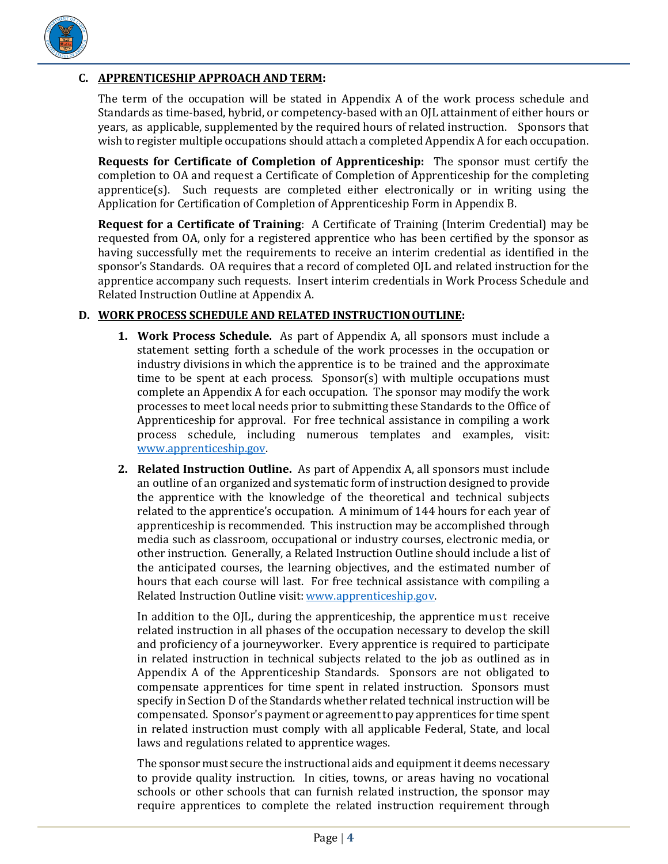

## <span id="page-3-0"></span>**C. APPRENTICESHIP APPROACH AND TERM:**

The term of the occupation will be stated in Appendix A of the work process schedule and Standards as time-based, hybrid, or competency-based with an OJL attainment of either hours or years, as applicable, supplemented by the required hours of related instruction. Sponsors that wish to register multiple occupations should attach a completed Appendix A for each occupation.

**Requests for Certificate of Completion of Apprenticeship:** The sponsor must certify the completion to OA and request a Certificate of Completion of Apprenticeship for the completing apprentice(s). Such requests are completed either electronically or in writing using the Application for Certification of Completion of Apprenticeship Form in Appendix B.

**Request for a Certificate of Training**: A Certificate of Training (Interim Credential) may be requested from OA, only for a registered apprentice who has been certified by the sponsor as having successfully met the requirements to receive an interim credential as identified in the sponsor's Standards. OA requires that a record of completed OJL and related instruction for the apprentice accompany such requests. Insert interim credentials in Work Process Schedule and Related Instruction Outline at Appendix A.

## <span id="page-3-1"></span>**D. WORK PROCESS SCHEDULE AND RELATED INSTRUCTIONOUTLINE:**

- **1. Work Process Schedule.** As part of Appendix A, all sponsors must include a statement setting forth a schedule of the work processes in the occupation or industry divisions in which the apprentice is to be trained and the approximate time to be spent at each process. Sponsor(s) with multiple occupations must complete an Appendix A for each occupation. The sponsor may modify the work processes to meet local needs prior to submitting these Standards to the Office of Apprenticeship for approval. For free technical assistance in compiling a work process schedule, including numerous templates and examples, visit: [www.apprenticeship.gov.](http://www.apprenticeship.gov/)
- **2. Related Instruction Outline.** As part of Appendix A, all sponsors must include an outline of an organized and systematic form of instruction designed to provide the apprentice with the knowledge of the theoretical and technical subjects related to the apprentice's occupation. A minimum of 144 hours for each year of apprenticeship is recommended. This instruction may be accomplished through media such as classroom, occupational or industry courses, electronic media, or other instruction. Generally, a Related Instruction Outline should include a list of the anticipated courses, the learning objectives, and the estimated number of hours that each course will last. For free technical assistance with compiling a Related Instruction Outline visit[: www.apprenticeship.gov.](http://www.apprenticeship.gov/)

In addition to the OJL, during the apprenticeship, the apprentice must receive related instruction in all phases of the occupation necessary to develop the skill and proficiency of a journeyworker. Every apprentice is required to participate in related instruction in technical subjects related to the job as outlined as in Appendix A of the Apprenticeship Standards. Sponsors are not obligated to compensate apprentices for time spent in related instruction. Sponsors must specify in Section D of the Standards whether related technical instruction will be compensated. Sponsor's payment or agreement to pay apprentices for time spent in related instruction must comply with all applicable Federal, State, and local laws and regulations related to apprentice wages.

The sponsor must secure the instructional aids and equipment it deems necessary to provide quality instruction. In cities, towns, or areas having no vocational schools or other schools that can furnish related instruction, the sponsor may require apprentices to complete the related instruction requirement through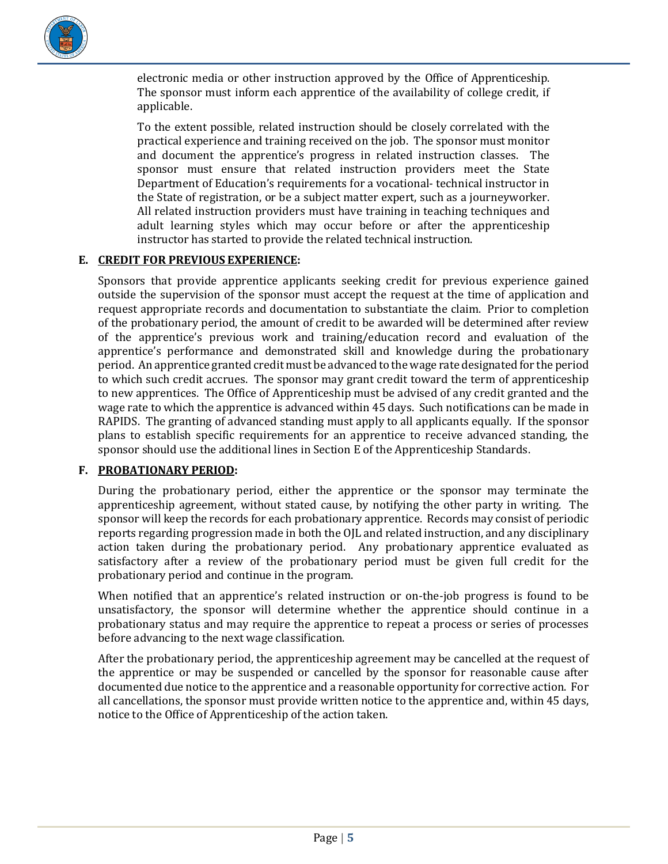

electronic media or other instruction approved by the Office of Apprenticeship. The sponsor must inform each apprentice of the availability of college credit, if applicable.

To the extent possible, related instruction should be closely correlated with the practical experience and training received on the job. The sponsor must monitor and document the apprentice's progress in related instruction classes. The sponsor must ensure that related instruction providers meet the State Department of Education's requirements for a vocational- technical instructor in the State of registration, or be a subject matter expert, such as a journeyworker. All related instruction providers must have training in teaching techniques and adult learning styles which may occur before or after the apprenticeship instructor has started to provide the related technical instruction.

## <span id="page-4-0"></span>**E. CREDIT FOR PREVIOUS EXPERIENCE:**

Sponsors that provide apprentice applicants seeking credit for previous experience gained outside the supervision of the sponsor must accept the request at the time of application and request appropriate records and documentation to substantiate the claim. Prior to completion of the probationary period, the amount of credit to be awarded will be determined after review of the apprentice's previous work and training/education record and evaluation of the apprentice's performance and demonstrated skill and knowledge during the probationary period. An apprentice granted credit must be advanced to the wage rate designated for the period to which such credit accrues. The sponsor may grant credit toward the term of apprenticeship to new apprentices. The Office of Apprenticeship must be advised of any credit granted and the wage rate to which the apprentice is advanced within 45 days. Such notifications can be made in RAPIDS. The granting of advanced standing must apply to all applicants equally. If the sponsor plans to establish specific requirements for an apprentice to receive advanced standing, the sponsor should use the additional lines in Section E of the Apprenticeship Standards.

## <span id="page-4-1"></span>**F. PROBATIONARY PERIOD:**

During the probationary period, either the apprentice or the sponsor may terminate the apprenticeship agreement, without stated cause, by notifying the other party in writing. The sponsor will keep the records for each probationary apprentice. Records may consist of periodic reports regarding progression made in both the OJL and related instruction, and any disciplinary action taken during the probationary period. Any probationary apprentice evaluated as satisfactory after a review of the probationary period must be given full credit for the probationary period and continue in the program.

When notified that an apprentice's related instruction or on-the-job progress is found to be unsatisfactory, the sponsor will determine whether the apprentice should continue in a probationary status and may require the apprentice to repeat a process or series of processes before advancing to the next wage classification.

After the probationary period, the apprenticeship agreement may be cancelled at the request of the apprentice or may be suspended or cancelled by the sponsor for reasonable cause after documented due notice to the apprentice and a reasonable opportunity for corrective action. For all cancellations, the sponsor must provide written notice to the apprentice and, within 45 days, notice to the Office of Apprenticeship of the action taken.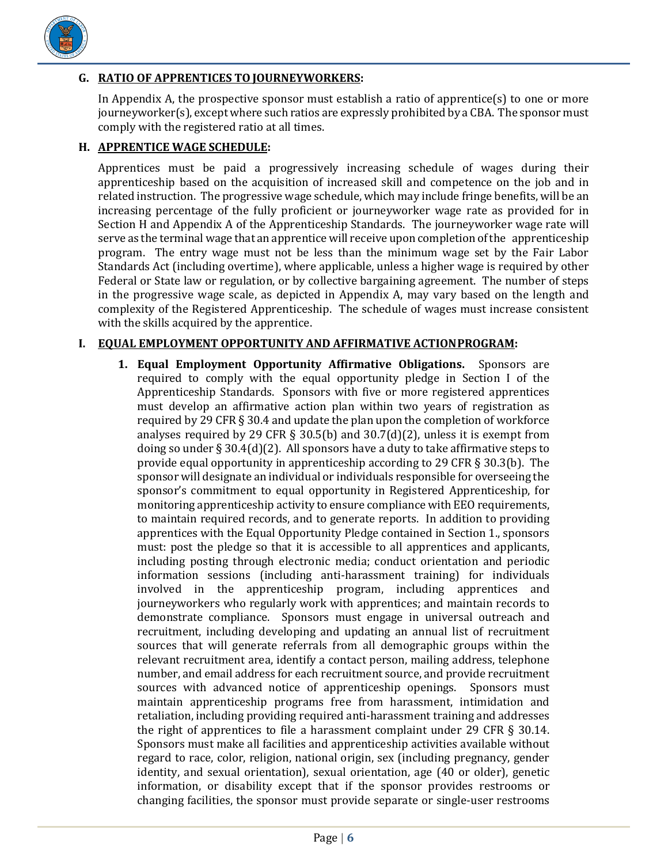

## <span id="page-5-0"></span>**G. RATIO OF APPRENTICES TOJOURNEYWORKERS:**

In Appendix A, the prospective sponsor must establish a ratio of apprentice(s) to one or more journeyworker(s), except where such ratios are expressly prohibited by a CBA. The sponsor must comply with the registered ratio at all times.

#### <span id="page-5-1"></span>**H. APPRENTICE WAGE SCHEDULE:**

Apprentices must be paid a progressively increasing schedule of wages during their apprenticeship based on the acquisition of increased skill and competence on the job and in related instruction. The progressive wage schedule, which may include fringe benefits, will be an increasing percentage of the fully proficient or journeyworker wage rate as provided for in Section H and Appendix A of the Apprenticeship Standards. The journeyworker wage rate will serve as the terminal wage that an apprentice will receive upon completion of the apprenticeship program. The entry wage must not be less than the minimum wage set by the Fair Labor Standards Act (including overtime), where applicable, unless a higher wage is required by other Federal or State law or regulation, or by collective bargaining agreement. The number of steps in the progressive wage scale, as depicted in Appendix A, may vary based on the length and complexity of the Registered Apprenticeship. The schedule of wages must increase consistent with the skills acquired by the apprentice.

#### <span id="page-5-2"></span>**I. EQUAL EMPLOYMENT OPPORTUNITY AND AFFIRMATIVE ACTIONPROGRAM:**

**1. Equal Employment Opportunity Affirmative Obligations.** Sponsors are required to comply with the equal opportunity pledge in Section I of the Apprenticeship Standards. Sponsors with five or more registered apprentices must develop an affirmative action plan within two years of registration as required by 29 CFR § 30.4 and update the plan upon the completion of workforce analyses required by 29 CFR § 30.5(b) and  $30.7(d)(2)$ , unless it is exempt from doing so under § 30.4(d)(2). All sponsors have a duty to take affirmative steps to provide equal opportunity in apprenticeship according to 29 CFR § 30.3(b). The sponsor will designate an individual or individuals responsible for overseeing the sponsor's commitment to equal opportunity in Registered Apprenticeship, for monitoring apprenticeship activity to ensure compliance with EEO requirements, to maintain required records, and to generate reports. In addition to providing apprentices with the Equal Opportunity Pledge contained in Section 1., sponsors must: post the pledge so that it is accessible to all apprentices and applicants, including posting through electronic media; conduct orientation and periodic information sessions (including anti-harassment training) for individuals involved in the apprenticeship program, including apprentices and journeyworkers who regularly work with apprentices; and maintain records to demonstrate compliance. Sponsors must engage in universal outreach and recruitment, including developing and updating an annual list of recruitment sources that will generate referrals from all demographic groups within the relevant recruitment area, identify a contact person, mailing address, telephone number, and email address for each recruitment source, and provide recruitment sources with advanced notice of apprenticeship openings. Sponsors must maintain apprenticeship programs free from harassment, intimidation and retaliation, including providing required anti-harassment training and addresses the right of apprentices to file a harassment complaint under 29 CFR § 30.14. Sponsors must make all facilities and apprenticeship activities available without regard to race, color, religion, national origin, sex (including pregnancy, gender identity, and sexual orientation), sexual orientation, age (40 or older), genetic information, or disability except that if the sponsor provides restrooms or changing facilities, the sponsor must provide separate or single-user restrooms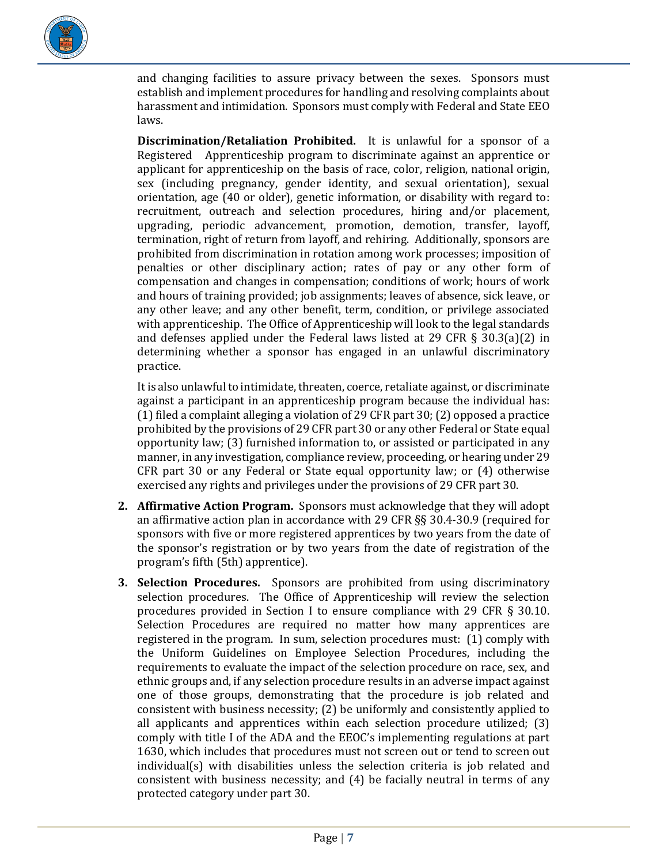

and changing facilities to assure privacy between the sexes. Sponsors must establish and implement procedures for handling and resolving complaints about harassment and intimidation. Sponsors must comply with Federal and State EEO laws.

**Discrimination/Retaliation Prohibited.** It is unlawful for a sponsor of a Registered Apprenticeship program to discriminate against an apprentice or applicant for apprenticeship on the basis of race, color, religion, national origin, sex (including pregnancy, gender identity, and sexual orientation), sexual orientation, age (40 or older), genetic information, or disability with regard to: recruitment, outreach and selection procedures, hiring and/or placement, upgrading, periodic advancement, promotion, demotion, transfer, layoff, termination, right of return from layoff, and rehiring. Additionally, sponsors are prohibited from discrimination in rotation among work processes; imposition of penalties or other disciplinary action; rates of pay or any other form of compensation and changes in compensation; conditions of work; hours of work and hours of training provided; job assignments; leaves of absence, sick leave, or any other leave; and any other benefit, term, condition, or privilege associated with apprenticeship. The Office of Apprenticeship will look to the legal standards and defenses applied under the Federal laws listed at 29 CFR  $\S$  30.3(a)(2) in determining whether a sponsor has engaged in an unlawful discriminatory practice.

It is also unlawful to intimidate, threaten, coerce, retaliate against, or discriminate against a participant in an apprenticeship program because the individual has: (1) filed a complaint alleging a violation of 29 CFR part 30; (2) opposed a practice prohibited by the provisions of 29 CFR part 30 or any other Federal or State equal opportunity law; (3) furnished information to, or assisted or participated in any manner, in any investigation, compliance review, proceeding, or hearing under 29 CFR part 30 or any Federal or State equal opportunity law; or (4) otherwise exercised any rights and privileges under the provisions of 29 CFR part 30.

- **2. Affirmative Action Program.** Sponsors must acknowledge that they will adopt an affirmative action plan in accordance with 29 CFR §§ 30.4-30.9 (required for sponsors with five or more registered apprentices by two years from the date of the sponsor's registration or by two years from the date of registration of the program's fifth (5th) apprentice).
- **3. Selection Procedures.** Sponsors are prohibited from using discriminatory selection procedures. The Office of Apprenticeship will review the selection procedures provided in Section I to ensure compliance with 29 CFR § 30.10. Selection Procedures are required no matter how many apprentices are registered in the program. In sum, selection procedures must: (1) comply with the Uniform Guidelines on Employee Selection Procedures, including the requirements to evaluate the impact of the selection procedure on race, sex, and ethnic groups and, if any selection procedure results in an adverse impact against one of those groups, demonstrating that the procedure is job related and consistent with business necessity; (2) be uniformly and consistently applied to all applicants and apprentices within each selection procedure utilized; (3) comply with title I of the ADA and the EEOC's implementing regulations at part 1630, which includes that procedures must not screen out or tend to screen out individual(s) with disabilities unless the selection criteria is job related and consistent with business necessity; and (4) be facially neutral in terms of any protected category under part 30.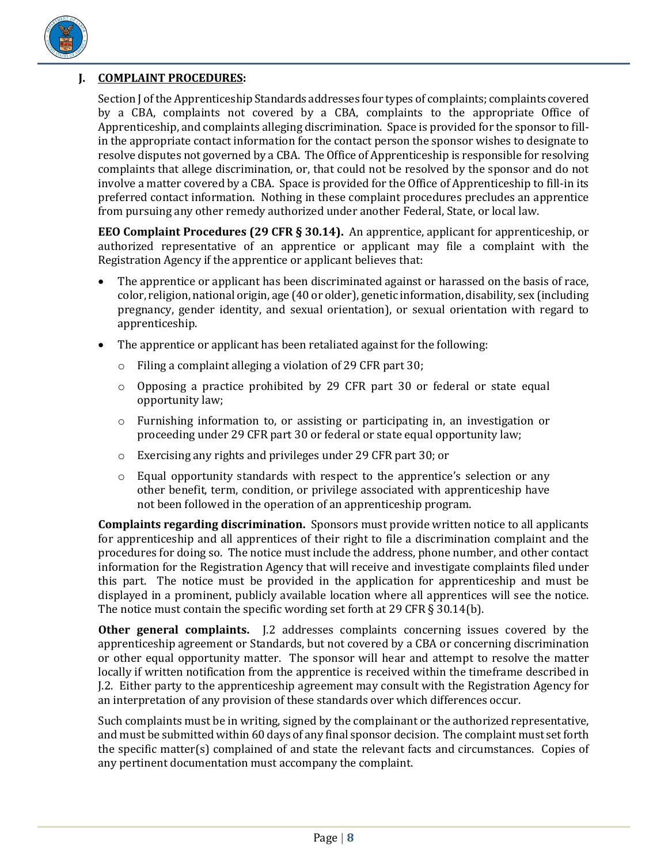

# <span id="page-7-0"></span>**J. COMPLAINT PROCEDURES:**

Section J of the Apprenticeship Standards addresses four types of complaints; complaints covered by a CBA, complaints not covered by a CBA, complaints to the appropriate Office of Apprenticeship, and complaints alleging discrimination. Space is provided for the sponsor to fillin the appropriate contact information for the contact person the sponsor wishes to designate to resolve disputes not governed by a CBA. The Office of Apprenticeship is responsible for resolving complaints that allege discrimination, or, that could not be resolved by the sponsor and do not involve a matter covered by a CBA. Space is provided for the Office of Apprenticeship to fill-in its preferred contact information. Nothing in these complaint procedures precludes an apprentice from pursuing any other remedy authorized under another Federal, State, or local law.

**EEO Complaint Procedures (29 CFR § 30.14).** An apprentice, applicant for apprenticeship, or authorized representative of an apprentice or applicant may file a complaint with the Registration Agency if the apprentice or applicant believes that:

- The apprentice or applicant has been discriminated against or harassed on the basis of race, color, religion, national origin, age (40 or older), genetic information, disability, sex (including pregnancy, gender identity, and sexual orientation), or sexual orientation with regard to apprenticeship.
- The apprentice or applicant has been retaliated against for the following:
	- o Filing a complaint alleging a violation of 29 CFR part 30;
	- o Opposing a practice prohibited by 29 CFR part 30 or federal or state equal opportunity law;
	- o Furnishing information to, or assisting or participating in, an investigation or proceeding under 29 CFR part 30 or federal or state equal opportunity law;
	- o Exercising any rights and privileges under 29 CFR part 30; or
	- $\circ$  Equal opportunity standards with respect to the apprentice's selection or any other benefit, term, condition, or privilege associated with apprenticeship have not been followed in the operation of an apprenticeship program.

**Complaints regarding discrimination.** Sponsors must provide written notice to all applicants for apprenticeship and all apprentices of their right to file a discrimination complaint and the procedures for doing so. The notice must include the address, phone number, and other contact information for the Registration Agency that will receive and investigate complaints filed under this part. The notice must be provided in the application for apprenticeship and must be displayed in a prominent, publicly available location where all apprentices will see the notice. The notice must contain the specific wording set forth at 29 CFR § 30.14(b).

**Other general complaints.** J.2 addresses complaints concerning issues covered by the apprenticeship agreement or Standards, but not covered by a CBA or concerning discrimination or other equal opportunity matter. The sponsor will hear and attempt to resolve the matter locally if written notification from the apprentice is received within the timeframe described in J.2. Either party to the apprenticeship agreement may consult with the Registration Agency for an interpretation of any provision of these standards over which differences occur.

Such complaints must be in writing, signed by the complainant or the authorized representative, and must be submitted within 60 days of any final sponsor decision. The complaint must set forth the specific matter(s) complained of and state the relevant facts and circumstances. Copies of any pertinent documentation must accompany the complaint.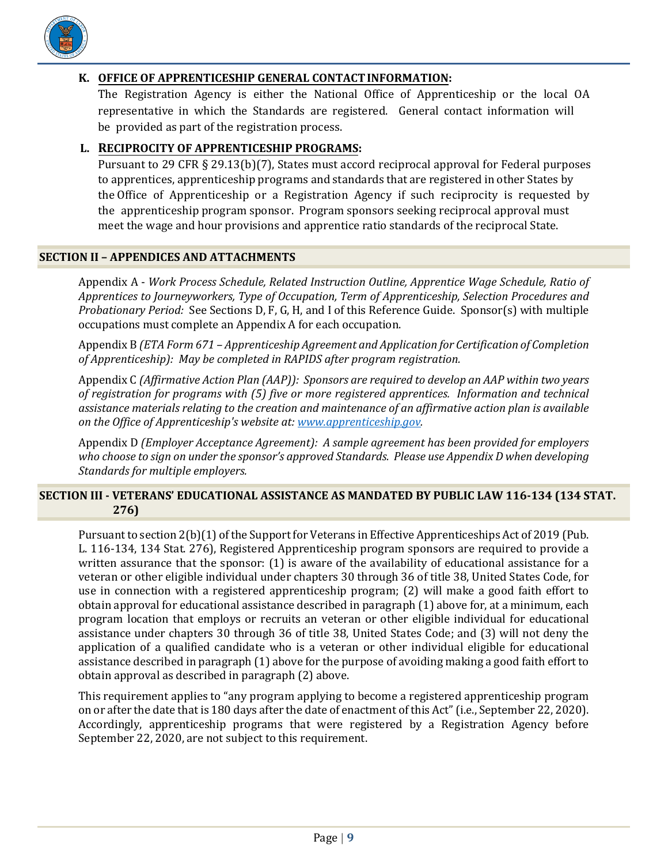

## <span id="page-8-0"></span>**K. OFFICE OF APPRENTICESHIP GENERAL CONTACTINFORMATION:**

The Registration Agency is either the National Office of Apprenticeship or the local OA representative in which the Standards are registered. General contact information will be provided as part of the registration process.

## <span id="page-8-1"></span>**L. RECIPROCITY OF APPRENTICESHIP PROGRAMS:**

Pursuant to 29 CFR § 29.13(b)(7), States must accord reciprocal approval for Federal purposes to apprentices, apprenticeship programs and standards that are registered in other States by the Office of Apprenticeship or a Registration Agency if such reciprocity is requested by the apprenticeship program sponsor. Program sponsors seeking reciprocal approval must meet the wage and hour provisions and apprentice ratio standards of the reciprocal State.

#### <span id="page-8-2"></span>**SECTION II – APPENDICES AND ATTACHMENTS**

Appendix A - *Work Process Schedule, Related Instruction Outline, Apprentice Wage Schedule, Ratio of Apprentices to Journeyworkers, Type of Occupation, Term of Apprenticeship, Selection Procedures and Probationary Period:* See Sections D, F, G, H, and I of this Reference Guide. Sponsor(s) with multiple occupations must complete an Appendix A for each occupation.

Appendix B *(ETA Form 671 – Apprenticeship Agreement and Application for Certification of Completion of Apprenticeship): May be completed in RAPIDS after program registration.* 

Appendix C *(Affirmative Action Plan (AAP)): Sponsors are required to develop an AAP within two years of registration for programs with (5) five or more registered apprentices. Information and technical assistance materials relating to the creation and maintenance of an affirmative action plan is available on the Office of Apprenticeship's website at[: www.apprenticeship.gov.](http://www.apprenticeship.gov/)*

Appendix D *(Employer Acceptance Agreement): A sample agreement has been provided for employers who choose to sign on under the sponsor's approved Standards. Please use Appendix D when developing Standards for multiple employers.*

## <span id="page-8-3"></span>**SECTION III - VETERANS' EDUCATIONAL ASSISTANCE AS MANDATED BY PUBLIC LAW 116-134 (134 STAT. 276)**

Pursuant to section 2(b)(1) of the Support for Veterans in Effective Apprenticeships Act of 2019 (Pub. L. 116-134, 134 Stat. 276), Registered Apprenticeship program sponsors are required to provide a written assurance that the sponsor: (1) is aware of the availability of educational assistance for a veteran or other eligible individual under chapters 30 through 36 of title 38, United States Code, for use in connection with a registered apprenticeship program; (2) will make a good faith effort to obtain approval for educational assistance described in paragraph (1) above for, at a minimum, each program location that employs or recruits an veteran or other eligible individual for educational assistance under chapters 30 through 36 of title 38, United States Code; and (3) will not deny the application of a qualified candidate who is a veteran or other individual eligible for educational assistance described in paragraph (1) above for the purpose of avoiding making a good faith effort to obtain approval as described in paragraph (2) above.

This requirement applies to "any program applying to become a registered apprenticeship program on or after the date that is 180 days after the date of enactment of this Act" (i.e., September 22, 2020). Accordingly, apprenticeship programs that were registered by a Registration Agency before September 22, 2020, are not subject to this requirement.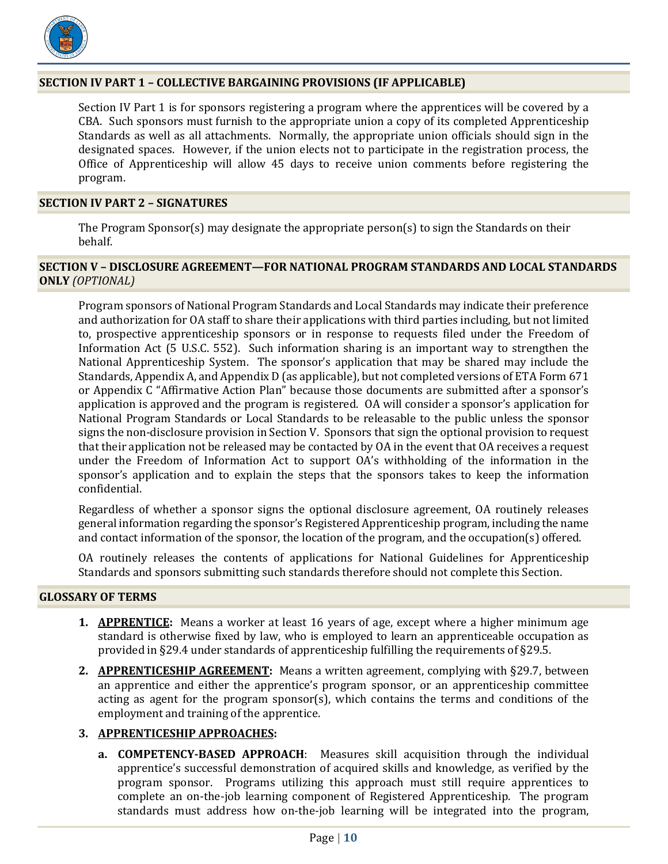

#### <span id="page-9-0"></span>**SECTION IV PART 1 – COLLECTIVE BARGAINING PROVISIONS (IF APPLICABLE)**

Section IV Part 1 is for sponsors registering a program where the apprentices will be covered by a CBA. Such sponsors must furnish to the appropriate union a copy of its completed Apprenticeship Standards as well as all attachments. Normally, the appropriate union officials should sign in the designated spaces. However, if the union elects not to participate in the registration process, the Office of Apprenticeship will allow 45 days to receive union comments before registering the program.

#### <span id="page-9-1"></span>**SECTION IV PART 2 – SIGNATURES**

The Program Sponsor(s) may designate the appropriate person(s) to sign the Standards on their behalf.

#### <span id="page-9-2"></span>**SECTION V – DISCLOSURE AGREEMENT—FOR NATIONAL PROGRAM STANDARDS AND LOCAL STANDARDS ONLY** *(OPTIONAL)*

Program sponsors of National Program Standards and Local Standards may indicate their preference and authorization for OA staff to share their applications with third parties including, but not limited to, prospective apprenticeship sponsors or in response to requests filed under the Freedom of Information Act (5 U.S.C. 552). Such information sharing is an important way to strengthen the National Apprenticeship System. The sponsor's application that may be shared may include the Standards, Appendix A, and Appendix D (as applicable), but not completed versions of ETA Form 671 or Appendix C "Affirmative Action Plan" because those documents are submitted after a sponsor's application is approved and the program is registered. OA will consider a sponsor's application for National Program Standards or Local Standards to be releasable to the public unless the sponsor signs the non-disclosure provision in Section V. Sponsors that sign the optional provision to request that their application not be released may be contacted by OA in the event that OA receives a request under the Freedom of Information Act to support OA's withholding of the information in the sponsor's application and to explain the steps that the sponsors takes to keep the information confidential.

Regardless of whether a sponsor signs the optional disclosure agreement, OA routinely releases general information regarding the sponsor's Registered Apprenticeship program, including the name and contact information of the sponsor, the location of the program, and the occupation(s) offered.

OA routinely releases the contents of applications for National Guidelines for Apprenticeship Standards and sponsors submitting such standards therefore should not complete this Section.

#### <span id="page-9-3"></span>**GLOSSARY OF TERMS**

- **1. APPRENTICE:** Means a worker at least 16 years of age, except where a higher minimum age standard is otherwise fixed by law, who is employed to learn an apprenticeable occupation as provided in §29.4 under standards of apprenticeship fulfilling the requirements of §29.5.
- **2. APPRENTICESHIP AGREEMENT:** Means a written agreement, complying with §29.7, between an apprentice and either the apprentice's program sponsor, or an apprenticeship committee acting as agent for the program sponsor(s), which contains the terms and conditions of the employment and training of the apprentice.

#### **3. APPRENTICESHIP APPROACHES:**

**a. COMPETENCY-BASED APPROACH**: Measures skill acquisition through the individual apprentice's successful demonstration of acquired skills and knowledge, as verified by the program sponsor. Programs utilizing this approach must still require apprentices to complete an on-the-job learning component of Registered Apprenticeship. The program standards must address how on-the-job learning will be integrated into the program,